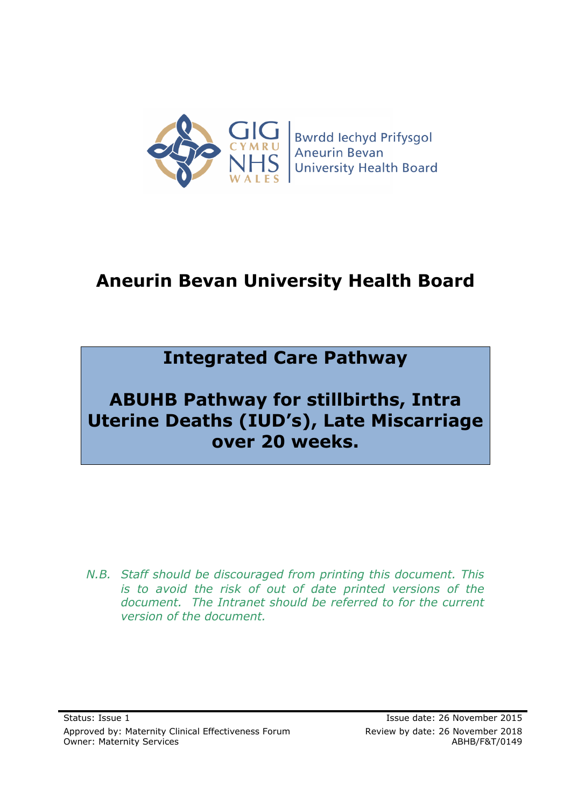

# **Aneurin Bevan University Health Board**

# **Integrated Care Pathway**

# **ABUHB Pathway for stillbirths, Intra Uterine Deaths (IUD's), Late Miscarriage over 20 weeks.**

*N.B. Staff should be discouraged from printing this document. This is to avoid the risk of out of date printed versions of the document. The Intranet should be referred to for the current version of the document.*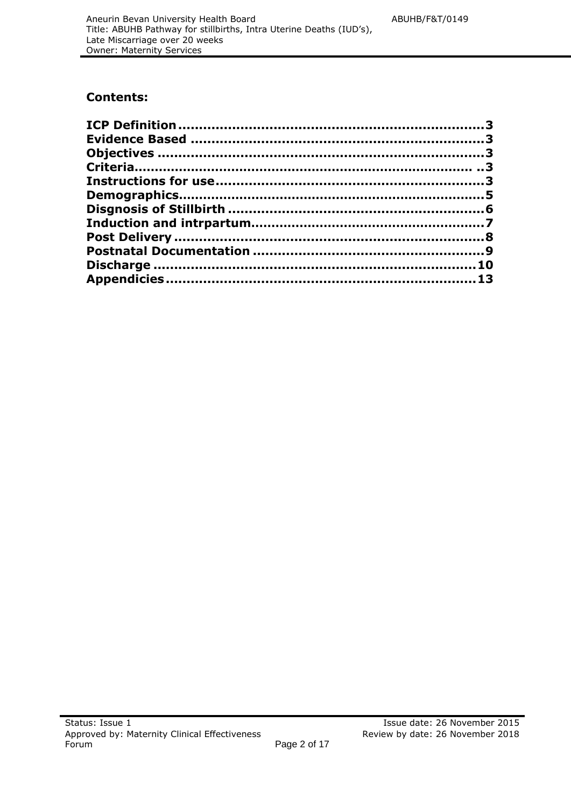# **Contents:**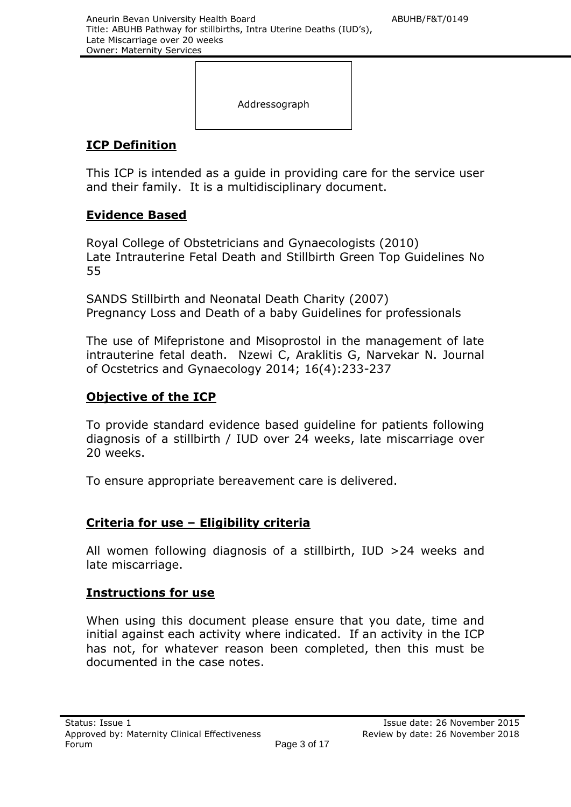Addressograph

# **ICP Definition**

This ICP is intended as a guide in providing care for the service user and their family. It is a multidisciplinary document.

## **Evidence Based**

Royal College of Obstetricians and Gynaecologists (2010) Late Intrauterine Fetal Death and Stillbirth Green Top Guidelines No 55

SANDS Stillbirth and Neonatal Death Charity (2007) Pregnancy Loss and Death of a baby Guidelines for professionals

The use of Mifepristone and Misoprostol in the management of late intrauterine fetal death. Nzewi C, Araklitis G, Narvekar N. Journal of Ocstetrics and Gynaecology 2014; 16(4):233-237

# **Objective of the ICP**

To provide standard evidence based guideline for patients following diagnosis of a stillbirth / IUD over 24 weeks, late miscarriage over 20 weeks.

To ensure appropriate bereavement care is delivered.

## **Criteria for use – Eligibility criteria**

All women following diagnosis of a stillbirth, IUD >24 weeks and late miscarriage.

## **Instructions for use**

When using this document please ensure that you date, time and initial against each activity where indicated. If an activity in the ICP has not, for whatever reason been completed, then this must be documented in the case notes.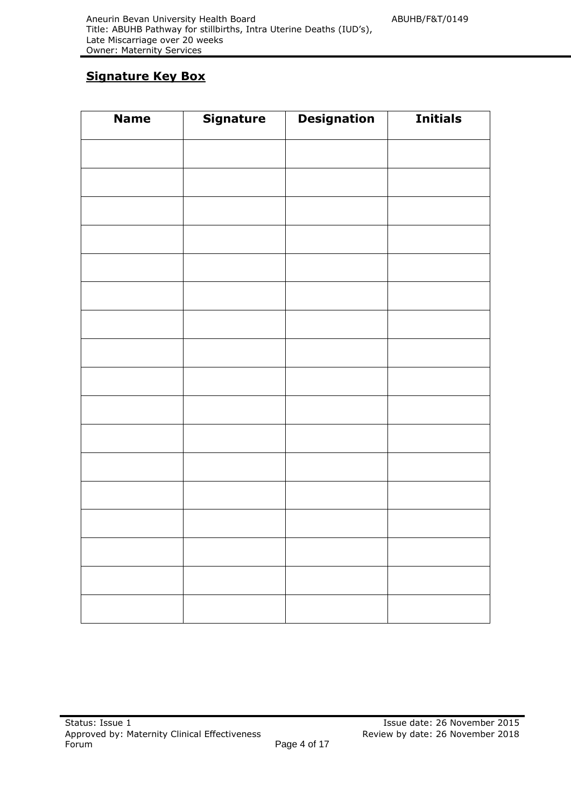# **Signature Key Box**

| <b>Name</b> | Signature | <b>Designation</b> | <b>Initials</b> |
|-------------|-----------|--------------------|-----------------|
|             |           |                    |                 |
|             |           |                    |                 |
|             |           |                    |                 |
|             |           |                    |                 |
|             |           |                    |                 |
|             |           |                    |                 |
|             |           |                    |                 |
|             |           |                    |                 |
|             |           |                    |                 |
|             |           |                    |                 |
|             |           |                    |                 |
|             |           |                    |                 |
|             |           |                    |                 |
|             |           |                    |                 |
|             |           |                    |                 |
|             |           |                    |                 |
|             |           |                    |                 |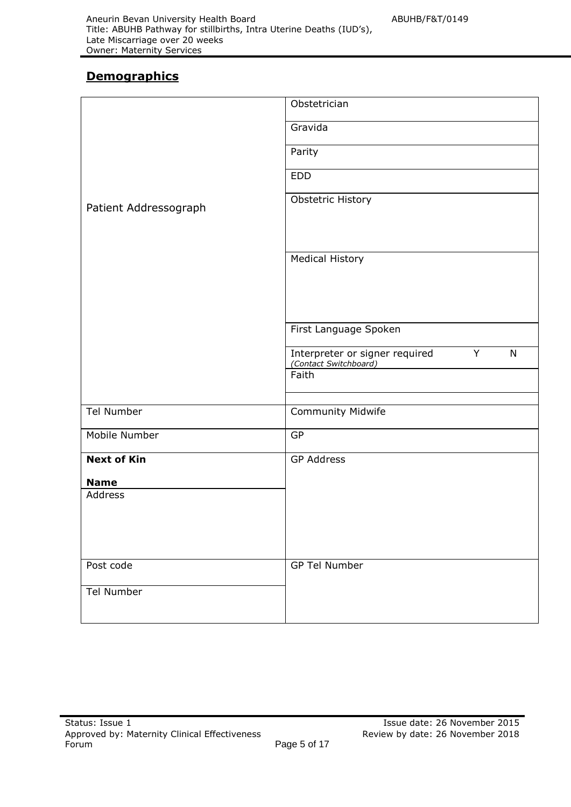# **Demographics**

|                       | Obstetrician                                                                 |
|-----------------------|------------------------------------------------------------------------------|
|                       | Gravida                                                                      |
|                       | Parity                                                                       |
|                       | <b>EDD</b>                                                                   |
| Patient Addressograph | Obstetric History                                                            |
|                       | <b>Medical History</b>                                                       |
|                       | First Language Spoken                                                        |
|                       | Y<br>$\mathsf{N}$<br>Interpreter or signer required<br>(Contact Switchboard) |
|                       | Faith                                                                        |
| <b>Tel Number</b>     | Community Midwife                                                            |
|                       |                                                                              |
| Mobile Number         | <b>GP</b>                                                                    |
| <b>Next of Kin</b>    | <b>GP Address</b>                                                            |
| <b>Name</b>           |                                                                              |
| Address               |                                                                              |
| Post code             | <b>GP Tel Number</b>                                                         |
| <b>Tel Number</b>     |                                                                              |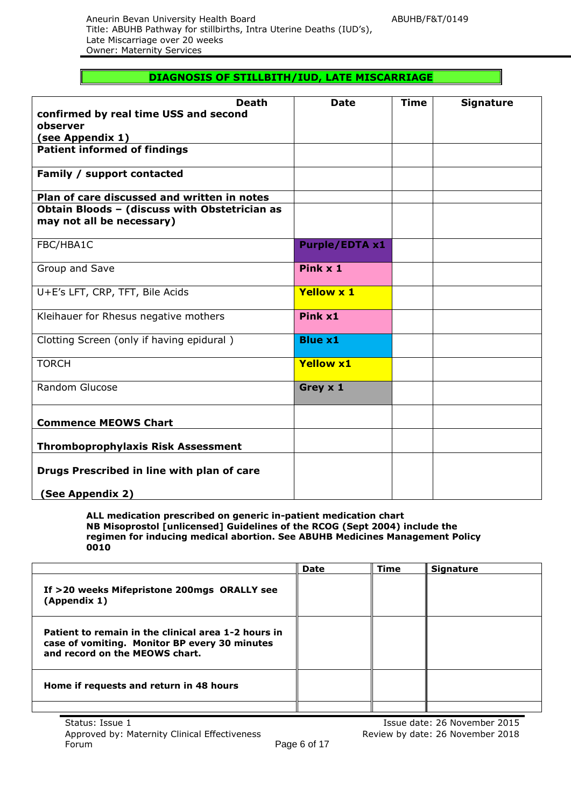#### **DIAGNOSIS OF STILLBITH/IUD, LATE MISCARRIAGE**

| <b>Death</b><br>confirmed by real time USS and second                      | <b>Date</b>           | <b>Time</b> | <b>Signature</b> |
|----------------------------------------------------------------------------|-----------------------|-------------|------------------|
| observer                                                                   |                       |             |                  |
| (see Appendix 1)                                                           |                       |             |                  |
| <b>Patient informed of findings</b>                                        |                       |             |                  |
| Family / support contacted                                                 |                       |             |                  |
| Plan of care discussed and written in notes                                |                       |             |                  |
| Obtain Bloods - (discuss with Obstetrician as<br>may not all be necessary) |                       |             |                  |
| FBC/HBA1C                                                                  | <b>Purple/EDTA x1</b> |             |                  |
| Group and Save                                                             | Pink x 1              |             |                  |
| U+E's LFT, CRP, TFT, Bile Acids                                            | <b>Yellow x 1</b>     |             |                  |
| Kleihauer for Rhesus negative mothers                                      | Pink x1               |             |                  |
| Clotting Screen (only if having epidural)                                  | <b>Blue x1</b>        |             |                  |
| <b>TORCH</b>                                                               | <b>Yellow x1</b>      |             |                  |
| Random Glucose                                                             | Grey x 1              |             |                  |
| <b>Commence MEOWS Chart</b>                                                |                       |             |                  |
| <b>Thromboprophylaxis Risk Assessment</b>                                  |                       |             |                  |
| Drugs Prescribed in line with plan of care                                 |                       |             |                  |
| (See Appendix 2)                                                           |                       |             |                  |

**ALL medication prescribed on generic in-patient medication chart NB Misoprostol [unlicensed] Guidelines of the RCOG (Sept 2004) include the regimen for inducing medical abortion. See ABUHB Medicines Management Policy 0010**

|                                                                                                                                        | <b>Date</b> | <b>Time</b> | <b>Signature</b> |
|----------------------------------------------------------------------------------------------------------------------------------------|-------------|-------------|------------------|
| If >20 weeks Mifepristone 200mgs ORALLY see<br>(Appendix 1)                                                                            |             |             |                  |
| Patient to remain in the clinical area 1-2 hours in<br>case of vomiting. Monitor BP every 30 minutes<br>and record on the MEOWS chart. |             |             |                  |
| Home if requests and return in 48 hours                                                                                                |             |             |                  |
|                                                                                                                                        |             |             |                  |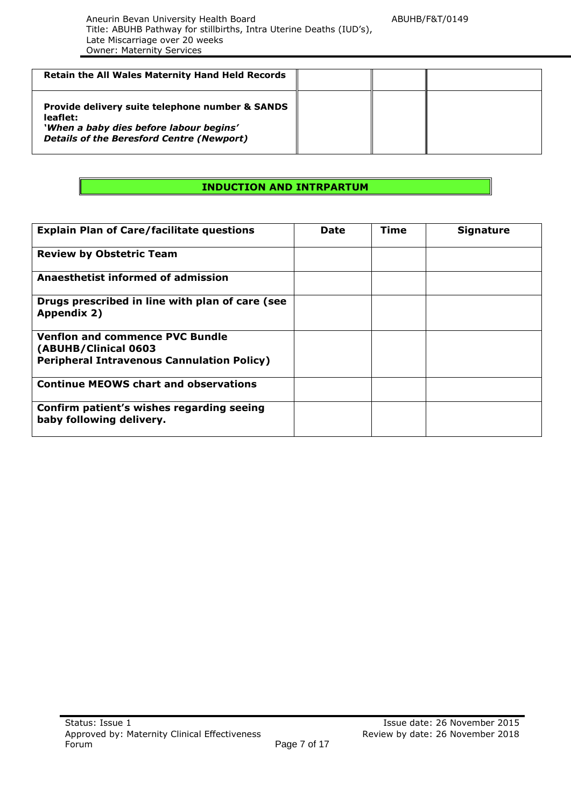| <b>Retain the All Wales Maternity Hand Held Records</b>                                                                                                    |  |  |
|------------------------------------------------------------------------------------------------------------------------------------------------------------|--|--|
| Provide delivery suite telephone number & SANDS<br>leaflet:<br>'When a baby dies before labour begins'<br><b>Details of the Beresford Centre (Newport)</b> |  |  |

### **INDUCTION AND INTRPARTUM**

| <b>Explain Plan of Care/facilitate questions</b>                      | <b>Date</b> | Time | <b>Signature</b> |
|-----------------------------------------------------------------------|-------------|------|------------------|
| <b>Review by Obstetric Team</b>                                       |             |      |                  |
| Anaesthetist informed of admission                                    |             |      |                  |
| Drugs prescribed in line with plan of care (see<br>Appendix 2)        |             |      |                  |
| <b>Venflon and commence PVC Bundle</b><br>(ABUHB/Clinical 0603        |             |      |                  |
| <b>Peripheral Intravenous Cannulation Policy)</b>                     |             |      |                  |
| <b>Continue MEOWS chart and observations</b>                          |             |      |                  |
| Confirm patient's wishes regarding seeing<br>baby following delivery. |             |      |                  |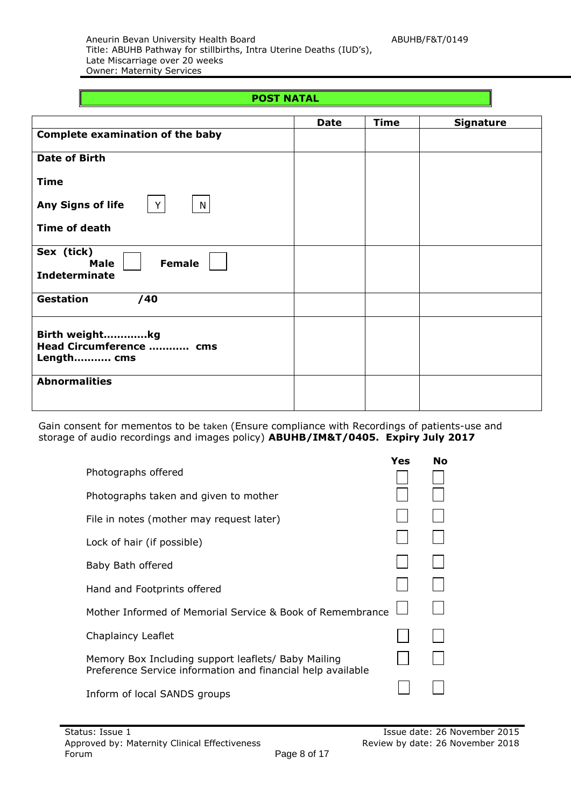Aneurin Bevan University Health Board ABUHB/F&T/0149 Title: ABUHB Pathway for stillbirths, Intra Uterine Deaths (IUD's), Late Miscarriage over 20 weeks Owner: Maternity Services

#### **POST NATAL**

|                                                                    | <b>Date</b> | <b>Time</b> | <b>Signature</b> |
|--------------------------------------------------------------------|-------------|-------------|------------------|
| <b>Complete examination of the baby</b>                            |             |             |                  |
| <b>Date of Birth</b>                                               |             |             |                  |
| <b>Time</b>                                                        |             |             |                  |
| Any Signs of life<br>Y<br>$\mathsf{N}$                             |             |             |                  |
| <b>Time of death</b>                                               |             |             |                  |
| Sex (tick)<br><b>Female</b><br><b>Male</b><br><b>Indeterminate</b> |             |             |                  |
| <b>Gestation</b><br>/40                                            |             |             |                  |
| Birth weightkg<br>Head Circumference  cms<br>Length cms            |             |             |                  |
| <b>Abnormalities</b>                                               |             |             |                  |

Gain consent for mementos to be taken (Ensure compliance with Recordings of patients-use and storage of audio recordings and images policy) **ABUHB/IM&T/0405. Expiry July 2017**

|                                                                                                                    | <b>Yes</b> | <b>No</b> |
|--------------------------------------------------------------------------------------------------------------------|------------|-----------|
| Photographs offered                                                                                                |            |           |
| Photographs taken and given to mother                                                                              |            |           |
| File in notes (mother may request later)                                                                           |            |           |
| Lock of hair (if possible)                                                                                         |            |           |
| Baby Bath offered                                                                                                  |            |           |
| Hand and Footprints offered                                                                                        |            |           |
| Mother Informed of Memorial Service & Book of Remembrance                                                          |            |           |
| Chaplaincy Leaflet                                                                                                 |            |           |
| Memory Box Including support leaflets/ Baby Mailing<br>Preference Service information and financial help available |            |           |
| Inform of local SANDS groups                                                                                       |            |           |
|                                                                                                                    |            |           |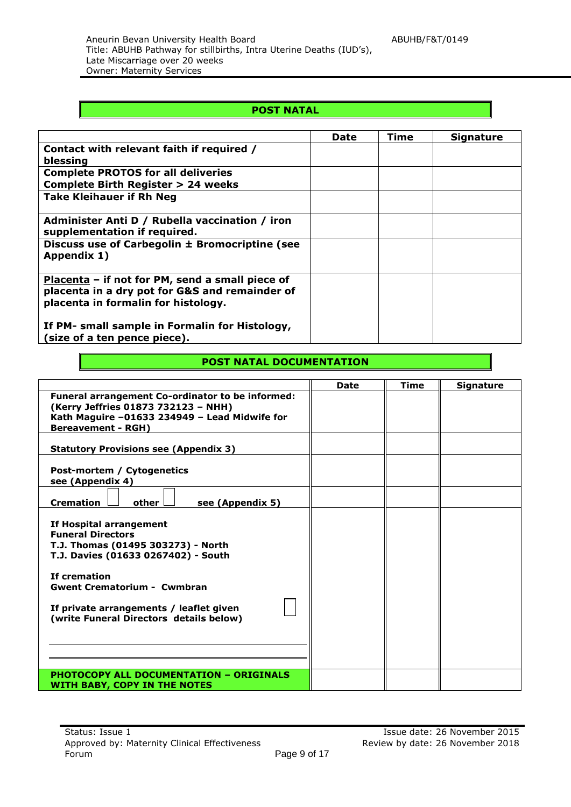### **POST NATAL**

|                                                                                                                                          | <b>Date</b> | Time | <b>Signature</b> |
|------------------------------------------------------------------------------------------------------------------------------------------|-------------|------|------------------|
| Contact with relevant faith if required /<br>blessing                                                                                    |             |      |                  |
| <b>Complete PROTOS for all deliveries</b><br><b>Complete Birth Register &gt; 24 weeks</b>                                                |             |      |                  |
| <b>Take Kleihauer if Rh Neg</b>                                                                                                          |             |      |                  |
| Administer Anti D / Rubella vaccination / iron<br>supplementation if required.                                                           |             |      |                  |
| Discuss use of Carbegolin ± Bromocriptine (see<br>Appendix 1)                                                                            |             |      |                  |
| Placenta - if not for PM, send a small piece of<br>placenta in a dry pot for G&S and remainder of<br>placenta in formalin for histology. |             |      |                  |
| If PM- small sample in Formalin for Histology,<br>(size of a ten pence piece).                                                           |             |      |                  |

#### **POST NATAL DOCUMENTATION**

|                                                                                    | <b>Date</b> | <b>Time</b> | <b>Signature</b> |
|------------------------------------------------------------------------------------|-------------|-------------|------------------|
| <b>Funeral arrangement Co-ordinator to be informed:</b>                            |             |             |                  |
| (Kerry Jeffries 01873 732123 - NHH)                                                |             |             |                  |
| Kath Maguire -01633 234949 - Lead Midwife for                                      |             |             |                  |
| <b>Bereavement - RGH)</b>                                                          |             |             |                  |
|                                                                                    |             |             |                  |
| <b>Statutory Provisions see (Appendix 3)</b>                                       |             |             |                  |
|                                                                                    |             |             |                  |
| Post-mortem / Cytogenetics                                                         |             |             |                  |
| see (Appendix 4)                                                                   |             |             |                  |
| <b>Cremation</b><br>other<br>see (Appendix 5)                                      |             |             |                  |
|                                                                                    |             |             |                  |
| If Hospital arrangement                                                            |             |             |                  |
| <b>Funeral Directors</b>                                                           |             |             |                  |
| T.J. Thomas (01495 303273) - North                                                 |             |             |                  |
| T.J. Davies (01633 0267402) - South                                                |             |             |                  |
|                                                                                    |             |             |                  |
| If cremation                                                                       |             |             |                  |
| <b>Gwent Crematorium - Cwmbran</b>                                                 |             |             |                  |
|                                                                                    |             |             |                  |
| If private arrangements / leaflet given<br>(write Funeral Directors details below) |             |             |                  |
|                                                                                    |             |             |                  |
|                                                                                    |             |             |                  |
|                                                                                    |             |             |                  |
|                                                                                    |             |             |                  |
|                                                                                    |             |             |                  |
| <b>PHOTOCOPY ALL DOCUMENTATION - ORIGINALS</b>                                     |             |             |                  |
| WITH BABY, COPY IN THE NOTES                                                       |             |             |                  |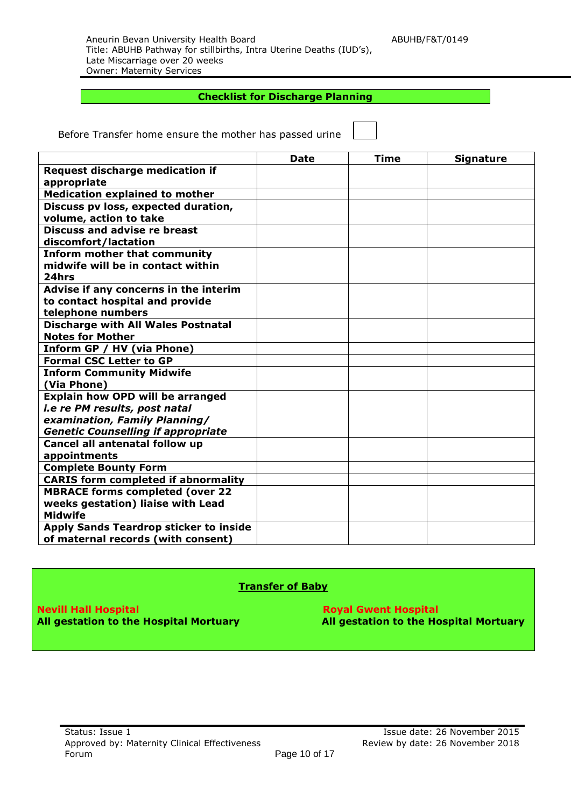#### **Checklist for Discharge Planning**

Before Transfer home ensure the mother has passed urine

|                                                       | <b>Date</b> | <b>Time</b> | <b>Signature</b> |
|-------------------------------------------------------|-------------|-------------|------------------|
| <b>Request discharge medication if</b><br>appropriate |             |             |                  |
| <b>Medication explained to mother</b>                 |             |             |                  |
| Discuss pv loss, expected duration,                   |             |             |                  |
| volume, action to take                                |             |             |                  |
| <b>Discuss and advise re breast</b>                   |             |             |                  |
| discomfort/lactation                                  |             |             |                  |
| <b>Inform mother that community</b>                   |             |             |                  |
| midwife will be in contact within                     |             |             |                  |
| 24hrs                                                 |             |             |                  |
| Advise if any concerns in the interim                 |             |             |                  |
| to contact hospital and provide                       |             |             |                  |
| telephone numbers                                     |             |             |                  |
| <b>Discharge with All Wales Postnatal</b>             |             |             |                  |
| <b>Notes for Mother</b>                               |             |             |                  |
| Inform GP / HV (via Phone)                            |             |             |                  |
| <b>Formal CSC Letter to GP</b>                        |             |             |                  |
| <b>Inform Community Midwife</b>                       |             |             |                  |
| (Via Phone)                                           |             |             |                  |
| <b>Explain how OPD will be arranged</b>               |             |             |                  |
| i.e re PM results, post natal                         |             |             |                  |
| examination, Family Planning/                         |             |             |                  |
| <b>Genetic Counselling if appropriate</b>             |             |             |                  |
| Cancel all antenatal follow up                        |             |             |                  |
| appointments                                          |             |             |                  |
| <b>Complete Bounty Form</b>                           |             |             |                  |
| <b>CARIS form completed if abnormality</b>            |             |             |                  |
| <b>MBRACE forms completed (over 22</b>                |             |             |                  |
| weeks gestation) liaise with Lead                     |             |             |                  |
| <b>Midwife</b>                                        |             |             |                  |
| Apply Sands Teardrop sticker to inside                |             |             |                  |
| of maternal records (with consent)                    |             |             |                  |

#### **Transfer of Baby**

**Nevill Hall Hospital Royal Gwent Hospital Royal Gwent Hospital** 

**All gestation to the Hospital Mortuary All gestation to the Hospital Mortuary**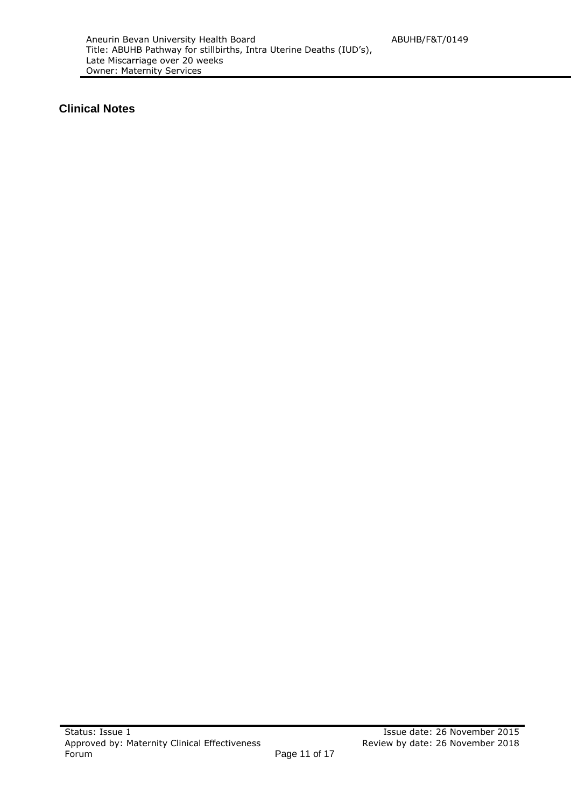### **Clinical Notes**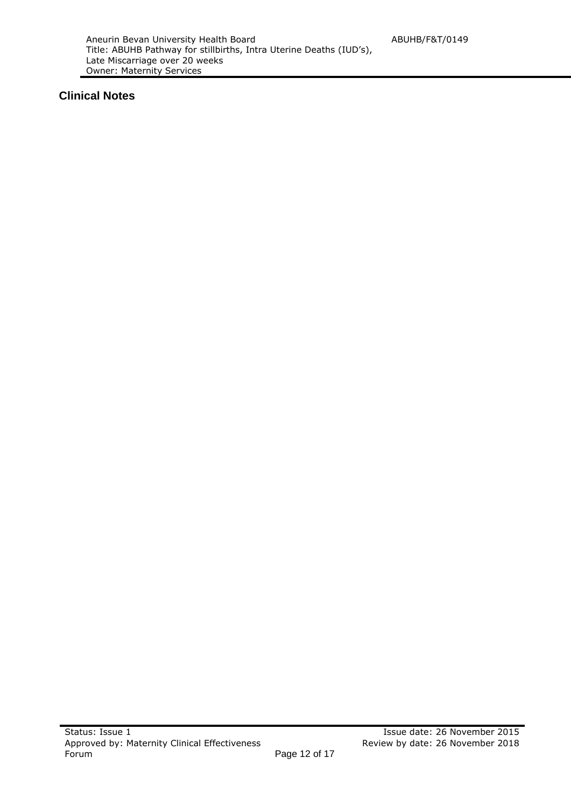### **Clinical Notes**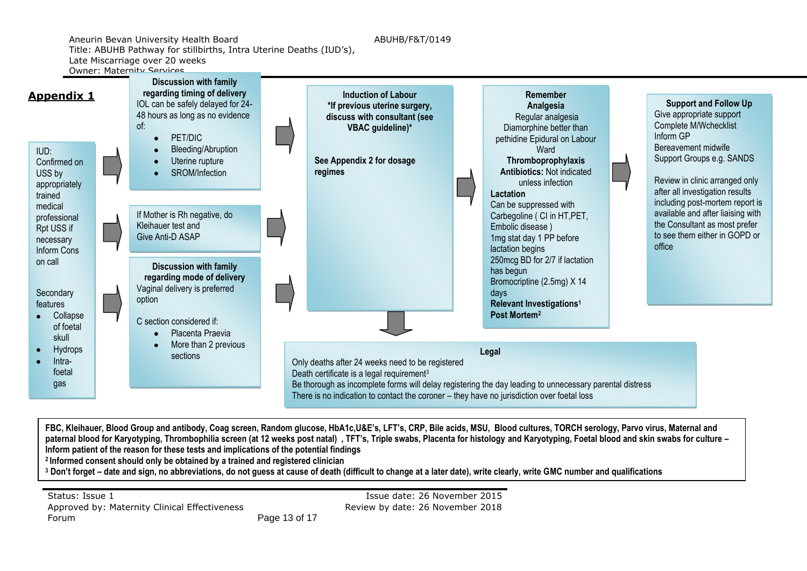Aneurin Bevan University Health Board ABUHB/F&T/0149 Title: ABUHB Pathway for stillbirths, Intra Uterine Deaths (IUD's), Late Miscarriage over 20 weeks

Owner: Maternity Services



**FBC, Kleihauer, Blood Group and antibody, Coag screen, Random glucose, HbA1c,U&E's, LFT's, CRP, Bile acids, MSU, Blood cultures, TORCH serology, Parvo virus, Maternal and paternal blood for Karyotyping, Thrombophilia screen (at 12 weeks post natal) , TFT's, Triple swabs, Placenta for histology and Karyotyping, Foetal blood and skin swabs for culture – Inform patient of the reason for these tests and implications of the potential findings <sup>2</sup>Informed consent should only be obtained by a trained and registered clinician**

**<sup>3</sup> Don't forget – date and sign, no abbreviations, do not guess at cause of death (difficult to change at a later date), write clearly, write GMC number and qualifications**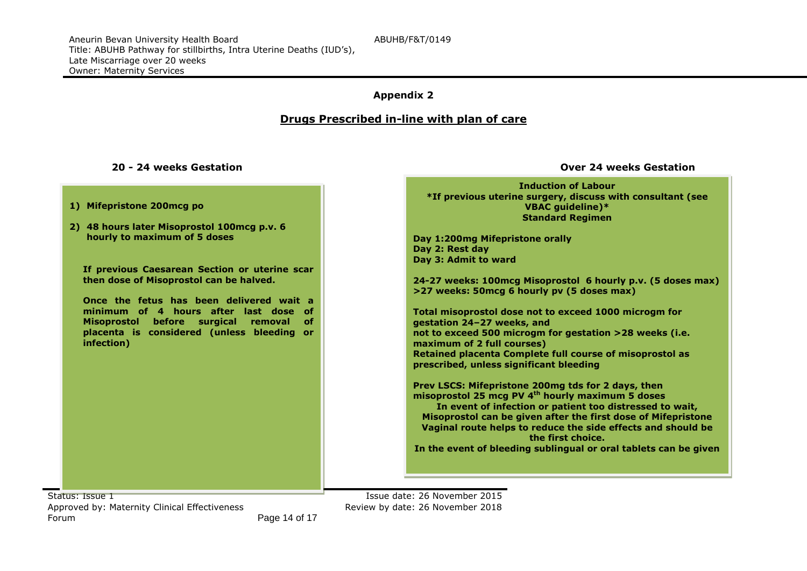#### **Appendix 2**

#### **Drugs Prescribed in-line with plan of care**

#### **20 - 24 weeks Gestation Over 24 weeks Gestation**

|                                               | <b>Induction of Labour</b>                                                                                |
|-----------------------------------------------|-----------------------------------------------------------------------------------------------------------|
| 1) Mifepristone 200mcg po                     | *If previous uterine surgery, discuss with consultant (see<br>VBAC guideline)*<br><b>Standard Regimen</b> |
| 2) 48 hours later Misoprostol 100mcg p.v. 6   |                                                                                                           |
| hourly to maximum of 5 doses                  | Day 1:200mg Mifepristone orally                                                                           |
|                                               | Day 2: Rest day                                                                                           |
|                                               | Day 3: Admit to ward                                                                                      |
| If previous Caesarean Section or uterine scar |                                                                                                           |
| then dose of Misoprostol can be halved.       | 24-27 weeks: 100mcg Misoprostol 6 hourly p.v. (5 doses max)                                               |
|                                               | >27 weeks: 50mcg 6 hourly pv (5 doses max)                                                                |
| Once the fetus has been delivered wait a      |                                                                                                           |
| minimum of 4 hours after last dose of         | Total misoprostol dose not to exceed 1000 microgm for                                                     |
| Misoprostol before surgical<br>removal<br>of. | gestation 24-27 weeks, and                                                                                |
| placenta is considered (unless bleeding or    | not to exceed 500 microgm for gestation >28 weeks (i.e.                                                   |
| infection)                                    | maximum of 2 full courses)                                                                                |
|                                               | Retained placenta Complete full course of misoprostol as                                                  |
|                                               | prescribed, unless significant bleeding                                                                   |
|                                               |                                                                                                           |
|                                               | Prev LSCS: Mifepristone 200mg tds for 2 days, then                                                        |
|                                               | misoprostol 25 mcg PV 4 <sup>th</sup> hourly maximum 5 doses                                              |
|                                               | In event of infection or patient too distressed to wait,                                                  |
|                                               | Misoprostol can be given after the first dose of Mifepristone                                             |
|                                               | Vaginal route helps to reduce the side effects and should be<br>the first choice.                         |
|                                               | In the event of bleeding sublingual or oral tablets can be given                                          |
|                                               |                                                                                                           |
|                                               |                                                                                                           |

Status: Issue 1 **Issue 1** Issue date: 26 November 2015 Approved by: Maternity Clinical Effectiveness Forum

 Review by date: 26 November 2018 Page 14 of 17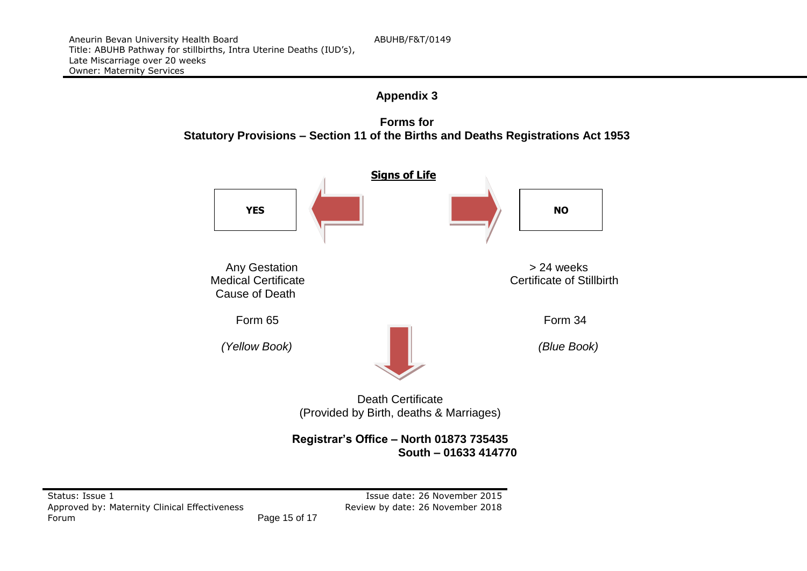





**Registrar's Office – North 01873 735435 South – 01633 414770**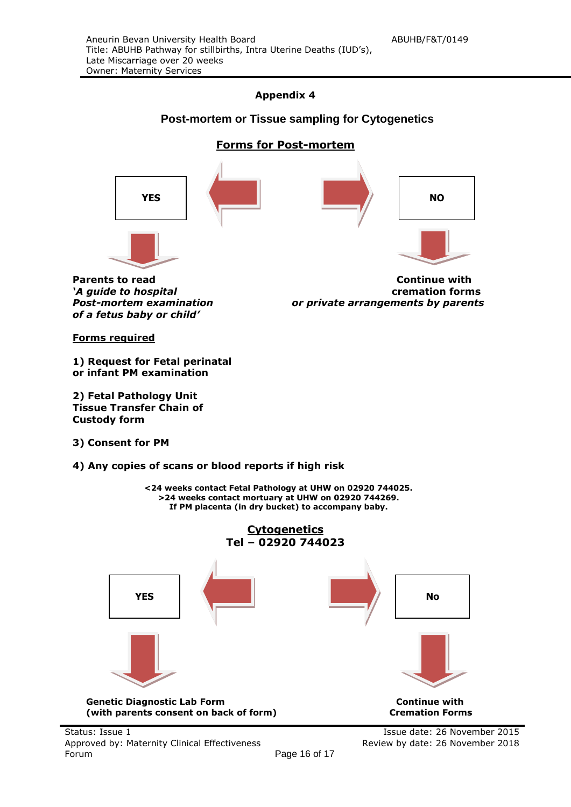#### **Appendix 4**

#### **Post-mortem or Tissue sampling for Cytogenetics**